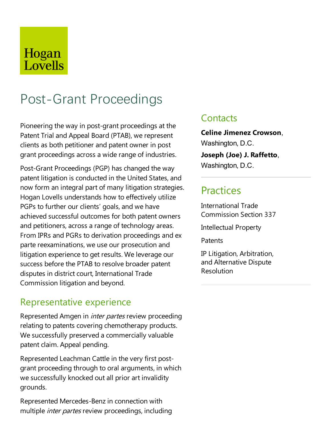## Hogan Lovells

# Post-Grant Proceedings

Pioneering the way in post-grant proceedings at the Patent Trial and Appeal Board (PTAB), we represent clients as both petitioner and patent owner in post grant proceedings across a wide range of industries.

Post-Grant Proceedings (PGP) has changed the way patent litigation is conducted in the United States, and now form an integral part of many litigation strategies. Hogan Lovells understands how to effectively utilize PGPs to further our clients' goals, and we have achieved successful outcomes for both patent owners and petitioners, across a range of technology areas. From IPRs and PGRs to derivation proceedings and ex parte reexaminations, we use our prosecution and litigation experience to get results. We leverage our success before the PTAB to resolve broader patent disputes in district court, International Trade Commission litigation and beyond.

### Representative experience

Represented Amgen in *inter partes* review proceeding relating to patents covering chemotherapy products. We successfully preserved a commercially valuable patent claim. Appeal pending.

Represented Leachman Cattle in the very first postgrant proceeding through to oral arguments, in which we successfully knocked out all prior art invalidity grounds.

Represented Mercedes-Benz in connection with multiple inter partes review proceedings, including

### **Contacts**

**Celine Jimenez Crowson**, Washington, D.C.

**Joseph (Joe) J. Raffetto**, Washington, D.C.

### **Practices**

International Trade Commission Section 337

Intellectual Property

Patents

IP Litigation, Arbitration, and Alternative Dispute Resolution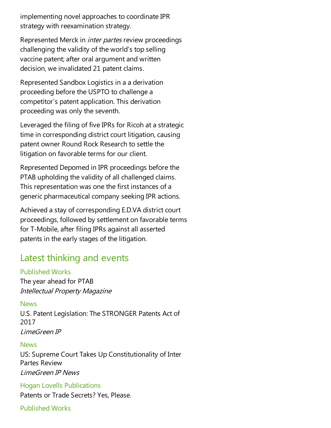implementing novel approaches to coordinate IPR strategy with reexamination strategy.

Represented Merck in inter partes review proceedings challenging the validity of the world's top selling vaccine patent; after oral argument and written decision, we invalidated 21 patent claims.

Represented SandboxLogistics in aa derivation proceeding before the USPTO to challenge a competitor's patent application. This derivation proceeding was only the seventh.

Leveraged the filing of five IPRs for Ricoh at a strategic time in corresponding district court litigation, causing patent owner Round Rock Research to settle the litigation on favorable terms for our client.

Represented Depomed in IPR proceedings before the PTAB upholding the validity of all challenged claims. This representation was one the first instances of a generic pharmaceutical company seeking IPR actions.

Achieved a stay of corresponding E.D.VA district court proceedings, followed by settlement on favorable terms for T-Mobile, after filing IPRs against all asserted patents in the early stages of the litigation.

### Latest thinking and events

#### Published Works

The year ahead for PTAB Intellectual Property Magazine

#### News

U.S. Patent Legislation: The STRONGER Patents Act of 2017 LimeGreen IP

#### News

US: Supreme Court Takes Up Constitutionality of Inter Partes Review LimeGreen IP News

Hogan Lovells Publications Patents or Trade Secrets? Yes, Please.

Published Works